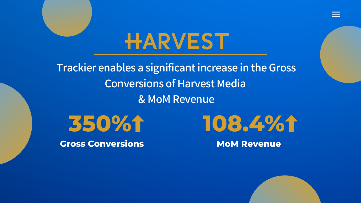## HARVEST

**Trackier enables a significantincrease in the Gross Conversions of Harvest Media & MoM Revenue**

**350%**

**Gross Conversions**





#### **MoM Revenue**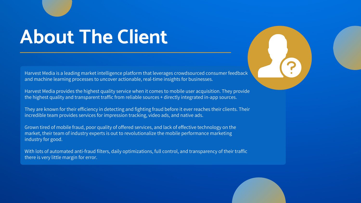## **About The Client**

Harvest Media is a leading market intelligence platform that leverages crowdsourced consumer feedback and machine learning processes to uncover actionable, real-time insights for businesses.

Harvest Media provides the highest quality service when it comes to mobile user acquisition. They provide the highest quality and transparent traffic from reliable sources + directly integrated in-app sources.

They are known for their efficiency in detecting and fighting fraud before it ever reaches their clients. Their incredible team provides services for impression tracking, video ads, and native ads.

Grown tired of mobile fraud, poor quality of offered services, and lack of effective technology on the market, their team of industry experts is out to revolutionalize the mobile performance marketing industry for good.

With lots of automated anti-fraud filters, daily optimizations, full control, and transparency of their traffic there is very little margin for error.

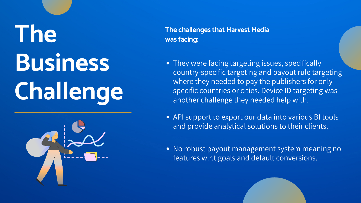# **The Business Challenge**



**The challenges that Harvest Media was facing:**

- 
- 
- 

• They were facing targeting issues, specifically country-specific targeting and payout rule targeting where they needed to pay the publishers for only specific countries or cities. Device ID targeting was another challenge they needed help with.

• No robust payout management system meaning no features w.r.t goals and default conversions.

API support to export our data into various BI tools and provide analytical solutions to their clients.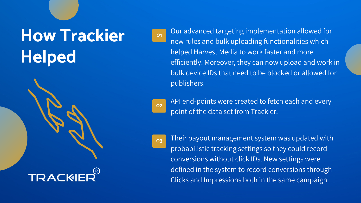Our advanced targeting implementation allowed for new rules and bulk uploading functionalities which helped Harvest Media to work faster and more efficiently. Moreover, they can now upload and work in bulk device IDs that need to be blocked or allowed for publishers.

#### **How Trackier Helped**



**01**

**02**

**03**

API end-points were created to fetch each and every point of the data set from Trackier.

Their payout management system was updated with probabilistic tracking settings so they could record conversions without click IDs. New settings were defined in the system to record conversions through Clicks and Impressions both in the same campaign.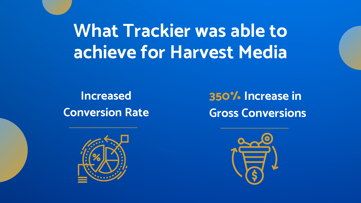#### **350% Increase in Gross Conversions**



### **What Trackier was able to achieve for Harvest Media**

**Increased Conversion Rate**

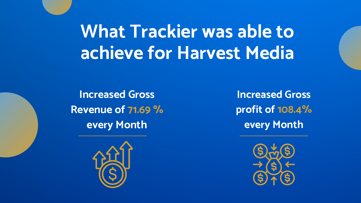### **What Trackier was able to achieve for Harvest Media**

**Increased Gross Revenue of 71.69 % every Month**



**Increased Gross profit of 108.4% every Month**

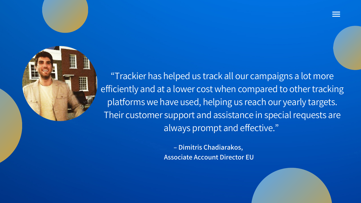**– Dimitris Chadiarakos, Associate Account Director EU**



"Trackier has helped us track all our campaigns a lot more efficiently and at a lower cost when compared to other tracking platforms we have used, helping us reach our yearly targets. Their customer support and assistance in special requests are always prompt and effective. "